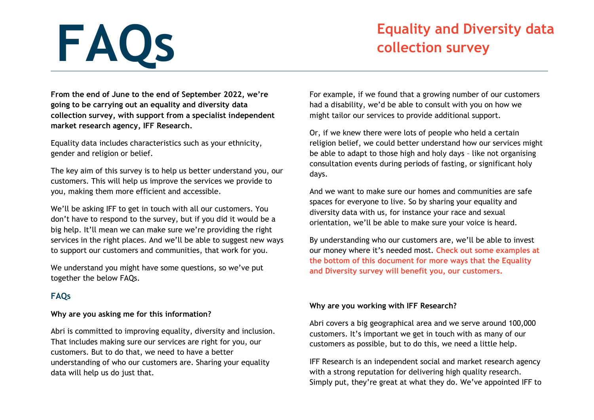# **Equality and Diversity data**<br> **FAQS collection survey**

**From the end of June to the end of September 2022, we're going to be carrying out an equality and diversity data collection survey, with support from a specialist independent market research agency, IFF Research.**

Equality data includes characteristics such as your ethnicity, gender and religion or belief.

The key aim of this survey is to help us better understand you, our customers. This will help us improve the services we provide to you, making them more efficient and accessible.

We'll be asking IFF to get in touch with all our customers. You don't have to respond to the survey, but if you did it would be a big help. It'll mean we can make sure we're providing the right services in the right places. And we'll be able to suggest new ways to support our customers and communities, that work for you.

We understand you might have some questions, so we've put together the below FAQs.

## **FAQs**

## **Why are you asking me for this information?**

Abri is committed to improving equality, diversity and inclusion. That includes making sure our services are right for you, our customers. But to do that, we need to have a better understanding of who our customers are. Sharing your equality data will help us do just that.

For example, if we found that a growing number of our customers had a disability, we'd be able to consult with you on how we might tailor our services to provide additional support.

Or, if we knew there were lots of people who held a certain religion belief, we could better understand how our services might be able to adapt to those high and holy days – like not organising consultation events during periods of fasting, or significant holy days.

And we want to make sure our homes and communities are safe spaces for everyone to live. So by sharing your equality and diversity data with us, for instance your race and sexual orientation, we'll be able to make sure your voice is heard.

By understanding who our customers are, we'll be able to invest our money where it's needed most. **Check out some examples at the bottom of this document for more ways that the Equality and Diversity survey will benefit you, our customers.**

## **Why are you working with IFF Research?**

Abri covers a big geographical area and we serve around 100,000 customers. It's important we get in touch with as many of our customers as possible, but to do this, we need a little help.

IFF Research is an independent social and market research agency with a strong reputation for delivering high quality research. Simply put, they're great at what they do. We've appointed IFF to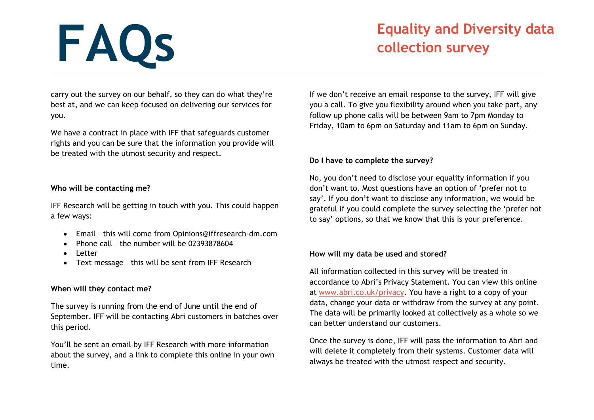## **Equality and Diversity data**<br> **FAQS collection survey**

carry out the survey on our behalf, so they can do what they're best at, and we can keep focused on delivering our services for you.

We have a contract in place with IFF that safeguards customer rights and you can be sure that the information you provide will be treated with the utmost security and respect.

### **Who will be contacting me?**

IFF Research will be getting in touch with you. This could happen a few ways:

- Email this will come from Opinions@iffresearch-dm.com
- Phone call the number will be 02393878604
- Letter
- Text message this will be sent from IFF Research

## **When will they contact me?**

The survey is running from the end of June until the end of September. IFF will be contacting Abri customers in batches over this period.

You'll be sent an email by IFF Research with more information about the survey, and a link to complete this online in your own time.

If we don't receive an email response to the survey, IFF will give you a call. To give you flexibility around when you take part, any follow up phone calls will be between 9am to 7pm Monday to Friday, 10am to 6pm on Saturday and 11am to 6pm on Sunday.

## **Do I have to complete the survey?**

No, you don't need to disclose your equality information if you don't want to. Most questions have an option of 'prefer not to say'. If you don't want to disclose any information, we would be grateful if you could complete the survey selecting the 'prefer not to say' options, so that we know that this is your preference.

## **How will my data be used and stored?**

All information collected in this survey will be treated in accordance to Abri's Privacy Statement. You can view this online at [www.abri.co.uk/privacy.](http://www.abri.co.uk/privacy) You have a right to a copy of your data, change your data or withdraw from the survey at any point. The data will be primarily looked at collectively as a whole so we can better understand our customers.

Once the survey is done, IFF will pass the information to Abri and will delete it completely from their systems. Customer data will always be treated with the utmost respect and security.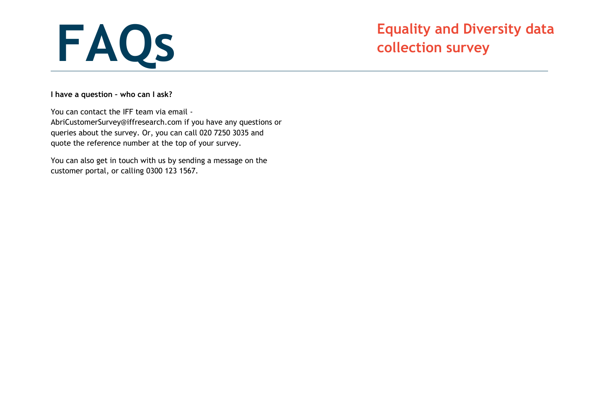

**I have a question – who can I ask?**

You can contact the IFF team via email - AbriCustomerSurvey@iffresearch.com if you have any questions or queries about the survey. Or, you can call 020 7250 3035 and quote the reference number at the top of your survey.

You can also get in touch with us by sending a message on the customer portal, or calling 0300 123 1567.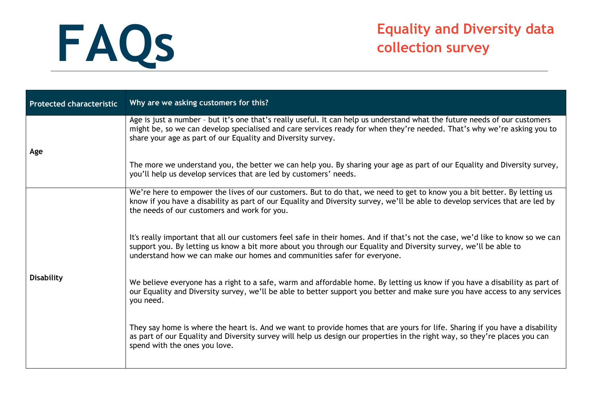| <b>Protected characteristic</b> | Why are we asking customers for this?                                                                                                                                                                                                                                                                                          |
|---------------------------------|--------------------------------------------------------------------------------------------------------------------------------------------------------------------------------------------------------------------------------------------------------------------------------------------------------------------------------|
| Age                             | Age is just a number - but it's one that's really useful. It can help us understand what the future needs of our customers<br>might be, so we can develop specialised and care services ready for when they're needed. That's why we're asking you to<br>share your age as part of our Equality and Diversity survey.          |
|                                 | The more we understand you, the better we can help you. By sharing your age as part of our Equality and Diversity survey,<br>you'll help us develop services that are led by customers' needs.                                                                                                                                 |
| <b>Disability</b>               | We're here to empower the lives of our customers. But to do that, we need to get to know you a bit better. By letting us<br>know if you have a disability as part of our Equality and Diversity survey, we'll be able to develop services that are led by<br>the needs of our customers and work for you.                      |
|                                 | It's really important that all our customers feel safe in their homes. And if that's not the case, we'd like to know so we can<br>support you. By letting us know a bit more about you through our Equality and Diversity survey, we'll be able to<br>understand how we can make our homes and communities safer for everyone. |
|                                 | We believe everyone has a right to a safe, warm and affordable home. By letting us know if you have a disability as part of<br>our Equality and Diversity survey, we'll be able to better support you better and make sure you have access to any services<br>you need.                                                        |
|                                 | They say home is where the heart is. And we want to provide homes that are yours for life. Sharing if you have a disability<br>as part of our Equality and Diversity survey will help us design our properties in the right way, so they're places you can<br>spend with the ones you love.                                    |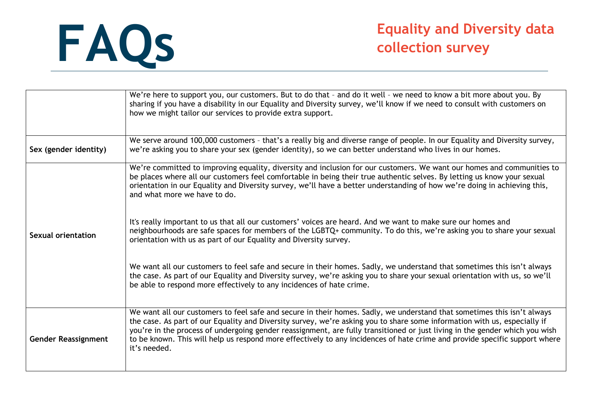|                            | We're here to support you, our customers. But to do that - and do it well - we need to know a bit more about you. By<br>sharing if you have a disability in our Equality and Diversity survey, we'll know if we need to consult with customers on<br>how we might tailor our services to provide extra support.                                                                                                                                                                                                                   |
|----------------------------|-----------------------------------------------------------------------------------------------------------------------------------------------------------------------------------------------------------------------------------------------------------------------------------------------------------------------------------------------------------------------------------------------------------------------------------------------------------------------------------------------------------------------------------|
| Sex (gender identity)      | We serve around 100,000 customers - that's a really big and diverse range of people. In our Equality and Diversity survey,<br>we're asking you to share your sex (gender identity), so we can better understand who lives in our homes.                                                                                                                                                                                                                                                                                           |
|                            | We're committed to improving equality, diversity and inclusion for our customers. We want our homes and communities to<br>be places where all our customers feel comfortable in being their true authentic selves. By letting us know your sexual<br>orientation in our Equality and Diversity survey, we'll have a better understanding of how we're doing in achieving this,<br>and what more we have to do.                                                                                                                    |
| Sexual orientation         | It's really important to us that all our customers' voices are heard. And we want to make sure our homes and<br>neighbourhoods are safe spaces for members of the LGBTQ+ community. To do this, we're asking you to share your sexual<br>orientation with us as part of our Equality and Diversity survey.                                                                                                                                                                                                                        |
|                            | We want all our customers to feel safe and secure in their homes. Sadly, we understand that sometimes this isn't always<br>the case. As part of our Equality and Diversity survey, we're asking you to share your sexual orientation with us, so we'll<br>be able to respond more effectively to any incidences of hate crime.                                                                                                                                                                                                    |
| <b>Gender Reassignment</b> | We want all our customers to feel safe and secure in their homes. Sadly, we understand that sometimes this isn't always<br>the case. As part of our Equality and Diversity survey, we're asking you to share some information with us, especially if<br>you're in the process of undergoing gender reassignment, are fully transitioned or just living in the gender which you wish<br>to be known. This will help us respond more effectively to any incidences of hate crime and provide specific support where<br>it's needed. |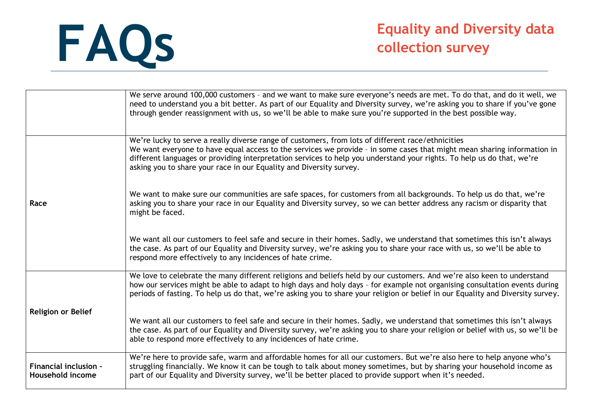|                                                  | We serve around 100,000 customers - and we want to make sure everyone's needs are met. To do that, and do it well, we<br>need to understand you a bit better. As part of our Equality and Diversity survey, we're asking you to share if you've gone<br>through gender reassignment with us, so we'll be able to make sure you're supported in the best possible way.                                                         |
|--------------------------------------------------|-------------------------------------------------------------------------------------------------------------------------------------------------------------------------------------------------------------------------------------------------------------------------------------------------------------------------------------------------------------------------------------------------------------------------------|
|                                                  | We're lucky to serve a really diverse range of customers, from lots of different race/ethnicities<br>We want everyone to have equal access to the services we provide - in some cases that might mean sharing information in<br>different languages or providing interpretation services to help you understand your rights. To help us do that, we're<br>asking you to share your race in our Equality and Diversity survey. |
| Race                                             | We want to make sure our communities are safe spaces, for customers from all backgrounds. To help us do that, we're<br>asking you to share your race in our Equality and Diversity survey, so we can better address any racism or disparity that<br>might be faced.                                                                                                                                                           |
|                                                  | We want all our customers to feel safe and secure in their homes. Sadly, we understand that sometimes this isn't always<br>the case. As part of our Equality and Diversity survey, we're asking you to share your race with us, so we'll be able to<br>respond more effectively to any incidences of hate crime.                                                                                                              |
|                                                  | We love to celebrate the many different religions and beliefs held by our customers. And we're also keen to understand<br>how our services might be able to adapt to high days and holy days - for example not organising consultation events during<br>periods of fasting. To help us do that, we're asking you to share your religion or belief in our Equality and Diversity survey.                                       |
| <b>Religion or Belief</b>                        | We want all our customers to feel safe and secure in their homes. Sadly, we understand that sometimes this isn't always<br>the case. As part of our Equality and Diversity survey, we're asking you to share your religion or belief with us, so we'll be<br>able to respond more effectively to any incidences of hate crime.                                                                                                |
| <b>Financial inclusion -</b><br>Household income | We're here to provide safe, warm and affordable homes for all our customers. But we're also here to help anyone who's<br>struggling financially. We know it can be tough to talk about money sometimes, but by sharing your household income as<br>part of our Equality and Diversity survey, we'll be better placed to provide support when it's needed.                                                                     |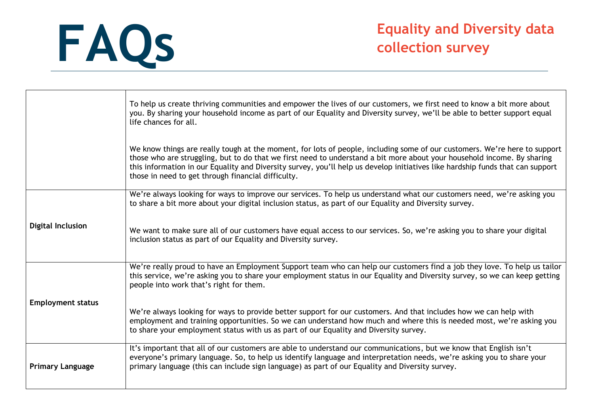|                          | To help us create thriving communities and empower the lives of our customers, we first need to know a bit more about<br>you. By sharing your household income as part of our Equality and Diversity survey, we'll be able to better support equal<br>life chances for all.                                                                                                                                                                  |
|--------------------------|----------------------------------------------------------------------------------------------------------------------------------------------------------------------------------------------------------------------------------------------------------------------------------------------------------------------------------------------------------------------------------------------------------------------------------------------|
|                          | We know things are really tough at the moment, for lots of people, including some of our customers. We're here to support<br>those who are struggling, but to do that we first need to understand a bit more about your household income. By sharing<br>this information in our Equality and Diversity survey, you'll help us develop initiatives like hardship funds that can support<br>those in need to get through financial difficulty. |
| <b>Digital Inclusion</b> | We're always looking for ways to improve our services. To help us understand what our customers need, we're asking you<br>to share a bit more about your digital inclusion status, as part of our Equality and Diversity survey.                                                                                                                                                                                                             |
|                          | We want to make sure all of our customers have equal access to our services. So, we're asking you to share your digital<br>inclusion status as part of our Equality and Diversity survey.                                                                                                                                                                                                                                                    |
|                          | We're really proud to have an Employment Support team who can help our customers find a job they love. To help us tailor<br>this service, we're asking you to share your employment status in our Equality and Diversity survey, so we can keep getting<br>people into work that's right for them.                                                                                                                                           |
| <b>Employment status</b> | We're always looking for ways to provide better support for our customers. And that includes how we can help with<br>employment and training opportunities. So we can understand how much and where this is needed most, we're asking you<br>to share your employment status with us as part of our Equality and Diversity survey.                                                                                                           |
| <b>Primary Language</b>  | It's important that all of our customers are able to understand our communications, but we know that English isn't<br>everyone's primary language. So, to help us identify language and interpretation needs, we're asking you to share your<br>primary language (this can include sign language) as part of our Equality and Diversity survey.                                                                                              |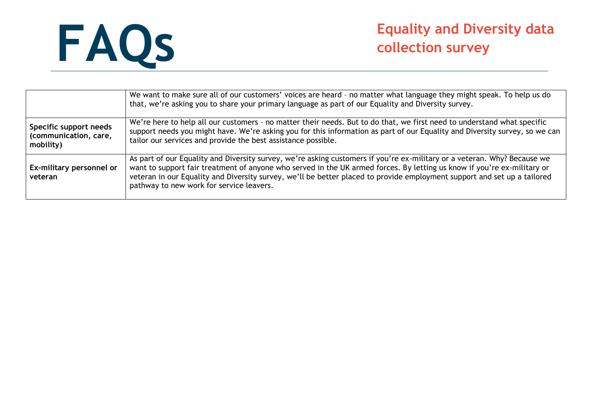

|                                                              | We want to make sure all of our customers' voices are heard - no matter what language they might speak. To help us do<br>that, we're asking you to share your primary language as part of our Equality and Diversity survey.                                                                                                                                                                                                |
|--------------------------------------------------------------|-----------------------------------------------------------------------------------------------------------------------------------------------------------------------------------------------------------------------------------------------------------------------------------------------------------------------------------------------------------------------------------------------------------------------------|
| Specific support needs<br>(communication, care,<br>mobility) | We're here to help all our customers - no matter their needs. But to do that, we first need to understand what specific<br>support needs you might have. We're asking you for this information as part of our Equality and Diversity survey, so we can<br>tailor our services and provide the best assistance possible.                                                                                                     |
| Ex-military personnel or<br>veteran                          | As part of our Equality and Diversity survey, we're asking customers if you're ex-military or a veteran. Why? Because we<br>want to support fair treatment of anyone who served in the UK armed forces. By letting us know if you're ex-military or<br>veteran in our Equality and Diversity survey, we'll be better placed to provide employment support and set up a tailored<br>pathway to new work for service leavers. |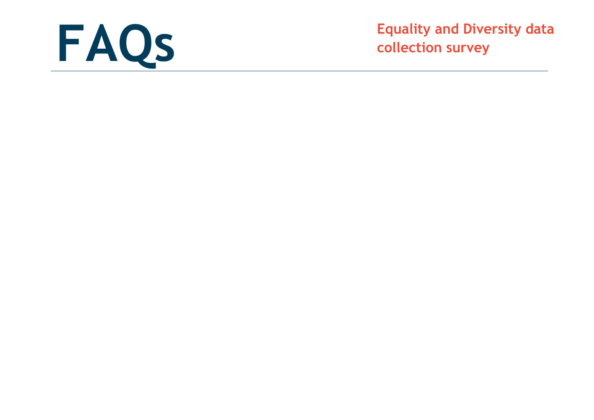